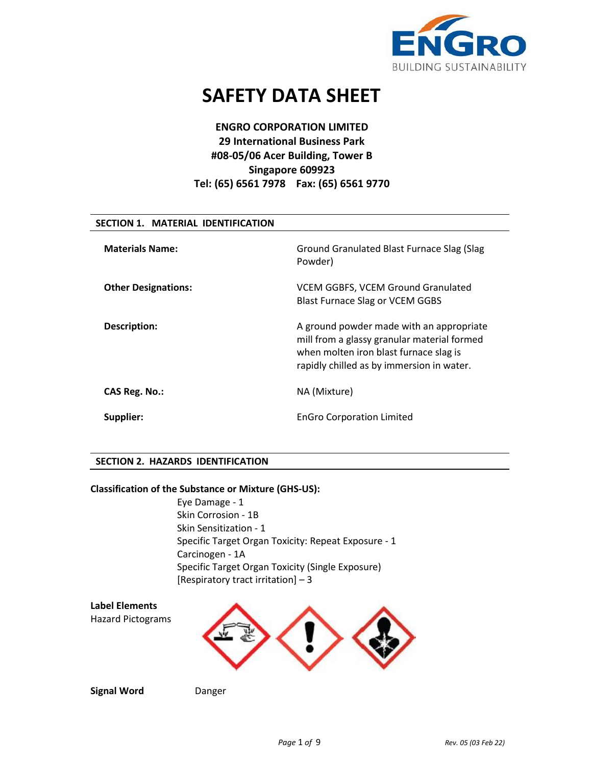

# **SAFETY DATA SHEET**

# **ENGRO CORPORATION LIMITED 29 International Business Park #08-05/06 Acer Building, Tower B Singapore 609923 Tel: (65) 6561 7978 Fax: (65) 6561 9770**

## **SECTION 1. MATERIAL IDENTIFICATION**

| <b>Materials Name:</b>     | Ground Granulated Blast Furnace Slag (Slag<br>Powder)                                                                                                                          |
|----------------------------|--------------------------------------------------------------------------------------------------------------------------------------------------------------------------------|
| <b>Other Designations:</b> | <b>VCEM GGBFS, VCEM Ground Granulated</b><br><b>Blast Furnace Slag or VCEM GGBS</b>                                                                                            |
| <b>Description:</b>        | A ground powder made with an appropriate<br>mill from a glassy granular material formed<br>when molten iron blast furnace slag is<br>rapidly chilled as by immersion in water. |
| CAS Reg. No.:              | NA (Mixture)                                                                                                                                                                   |
| Supplier:                  | <b>EnGro Corporation Limited</b>                                                                                                                                               |

## **SECTION 2. HAZARDS IDENTIFICATION**

## **Classification of the Substance or Mixture (GHS-US):**

Eye Damage - 1 Skin Corrosion - 1B Skin Sensitization - 1 Specific Target Organ Toxicity: Repeat Exposure - 1 Carcinogen - 1A Specific Target Organ Toxicity (Single Exposure) [Respiratory tract irritation]  $-3$ 

**Label Elements**  Hazard Pictograms



**Signal Word** Danger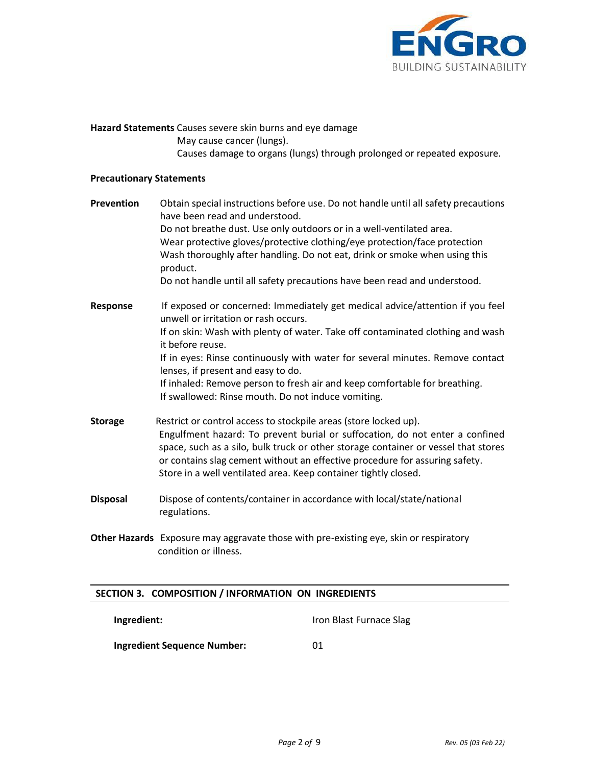

**Hazard Statements** Causes severe skin burns and eye damage May cause cancer (lungs). Causes damage to organs (lungs) through prolonged or repeated exposure.

## **Precautionary Statements**

| Prevention      | Obtain special instructions before use. Do not handle until all safety precautions<br>have been read and understood.<br>Do not breathe dust. Use only outdoors or in a well-ventilated area.<br>Wear protective gloves/protective clothing/eye protection/face protection<br>Wash thoroughly after handling. Do not eat, drink or smoke when using this<br>product.<br>Do not handle until all safety precautions have been read and understood. |
|-----------------|--------------------------------------------------------------------------------------------------------------------------------------------------------------------------------------------------------------------------------------------------------------------------------------------------------------------------------------------------------------------------------------------------------------------------------------------------|
| Response        | If exposed or concerned: Immediately get medical advice/attention if you feel<br>unwell or irritation or rash occurs.<br>If on skin: Wash with plenty of water. Take off contaminated clothing and wash<br>it before reuse.                                                                                                                                                                                                                      |
|                 | If in eyes: Rinse continuously with water for several minutes. Remove contact<br>lenses, if present and easy to do.<br>If inhaled: Remove person to fresh air and keep comfortable for breathing.<br>If swallowed: Rinse mouth. Do not induce vomiting.                                                                                                                                                                                          |
| <b>Storage</b>  | Restrict or control access to stockpile areas (store locked up).<br>Engulfment hazard: To prevent burial or suffocation, do not enter a confined<br>space, such as a silo, bulk truck or other storage container or vessel that stores<br>or contains slag cement without an effective procedure for assuring safety.<br>Store in a well ventilated area. Keep container tightly closed.                                                         |
| <b>Disposal</b> | Dispose of contents/container in accordance with local/state/national<br>regulations.                                                                                                                                                                                                                                                                                                                                                            |

**Other Hazards** Exposure may aggravate those with pre-existing eye, skin or respiratory condition or illness.

## **SECTION 3. COMPOSITION / INFORMATION ON INGREDIENTS**

**Ingredient:**

Iron Blast Furnace Slag

**Ingredient Sequence Number:**

01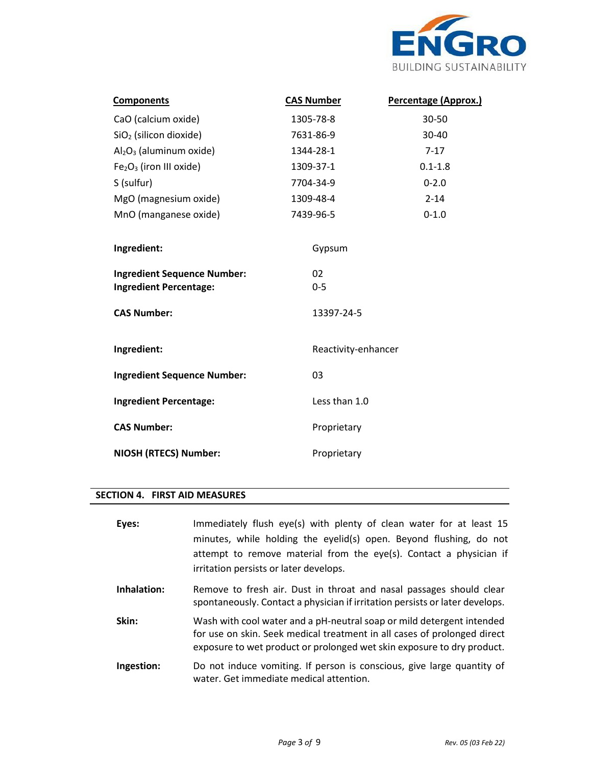

| <b>Components</b>                               | <b>CAS Number</b>   | Percentage (Approx.) |
|-------------------------------------------------|---------------------|----------------------|
| CaO (calcium oxide)                             | 1305-78-8           | 30-50                |
| SiO <sub>2</sub> (silicon dioxide)              | 7631-86-9           | 30-40                |
| $Al_2O_3$ (aluminum oxide)                      | 1344-28-1           | $7-17$               |
| Fe <sub>2</sub> O <sub>3</sub> (iron III oxide) | 1309-37-1           | $0.1 - 1.8$          |
| S (sulfur)                                      | 7704-34-9           | $0 - 2.0$            |
| MgO (magnesium oxide)                           | 1309-48-4           | $2 - 14$             |
| MnO (manganese oxide)                           | 7439-96-5           | $0 - 1.0$            |
|                                                 |                     |                      |
| Ingredient:                                     | Gypsum              |                      |
| <b>Ingredient Sequence Number:</b>              | 02                  |                      |
| <b>Ingredient Percentage:</b>                   | $0 - 5$             |                      |
| <b>CAS Number:</b>                              | 13397-24-5          |                      |
|                                                 |                     |                      |
| Ingredient:                                     | Reactivity-enhancer |                      |
| <b>Ingredient Sequence Number:</b>              | 03                  |                      |
| <b>Ingredient Percentage:</b>                   | Less than 1.0       |                      |
| <b>CAS Number:</b>                              | Proprietary         |                      |
| <b>NIOSH (RTECS) Number:</b>                    | Proprietary         |                      |
|                                                 |                     |                      |

## **SECTION 4. FIRST AID MEASURES**

| Eyes:       | Immediately flush eye(s) with plenty of clean water for at least 15<br>minutes, while holding the eyelid(s) open. Beyond flushing, do not<br>attempt to remove material from the eye(s). Contact a physician if<br>irritation persists or later develops. |
|-------------|-----------------------------------------------------------------------------------------------------------------------------------------------------------------------------------------------------------------------------------------------------------|
| Inhalation: | Remove to fresh air. Dust in throat and nasal passages should clear<br>spontaneously. Contact a physician if irritation persists or later develops.                                                                                                       |
| Skin:       | Wash with cool water and a pH-neutral soap or mild detergent intended<br>for use on skin. Seek medical treatment in all cases of prolonged direct<br>exposure to wet product or prolonged wet skin exposure to dry product.                               |
| Ingestion:  | Do not induce vomiting. If person is conscious, give large quantity of<br>water. Get immediate medical attention.                                                                                                                                         |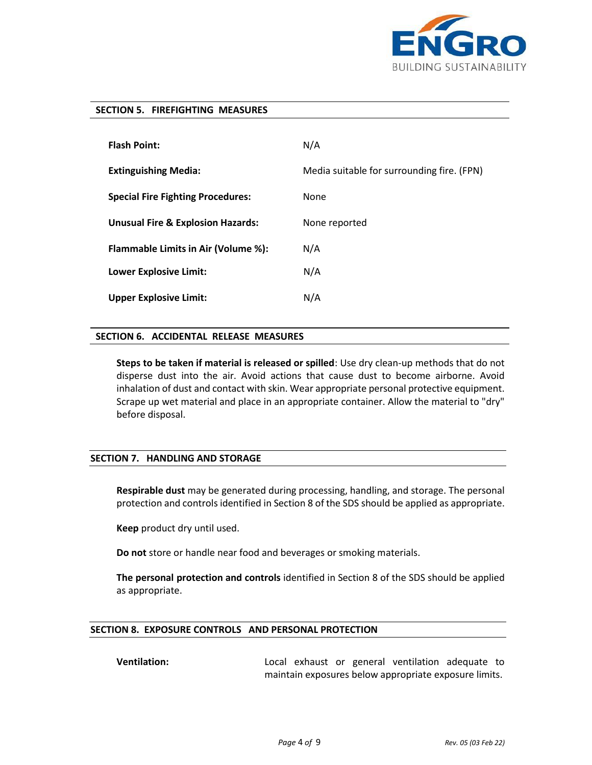

#### **SECTION 5. FIREFIGHTING MEASURES**

| <b>Flash Point:</b>                          | N/A                                        |
|----------------------------------------------|--------------------------------------------|
| <b>Extinguishing Media:</b>                  | Media suitable for surrounding fire. (FPN) |
| <b>Special Fire Fighting Procedures:</b>     | None                                       |
| <b>Unusual Fire &amp; Explosion Hazards:</b> | None reported                              |
| Flammable Limits in Air (Volume %):          | N/A                                        |
| <b>Lower Explosive Limit:</b>                | N/A                                        |
| <b>Upper Explosive Limit:</b>                | N/A                                        |

## **SECTION 6. ACCIDENTAL RELEASE MEASURES**

**Steps to be taken if material is released or spilled**: Use dry clean-up methods that do not disperse dust into the air. Avoid actions that cause dust to become airborne. Avoid inhalation of dust and contact with skin. Wear appropriate personal protective equipment. Scrape up wet material and place in an appropriate container. Allow the material to "dry" before disposal.

## **SECTION 7. HANDLING AND STORAGE**

**Respirable dust** may be generated during processing, handling, and storage. The personal protection and controls identified in Section 8 of the SDS should be applied as appropriate.

**Keep** product dry until used.

**Do not** store or handle near food and beverages or smoking materials.

**The personal protection and controls** identified in Section 8 of the SDS should be applied as appropriate.

## **SECTION 8. EXPOSURE CONTROLS AND PERSONAL PROTECTION**

**Ventilation:** Local exhaust or general ventilation adequate to maintain exposures below appropriate exposure limits.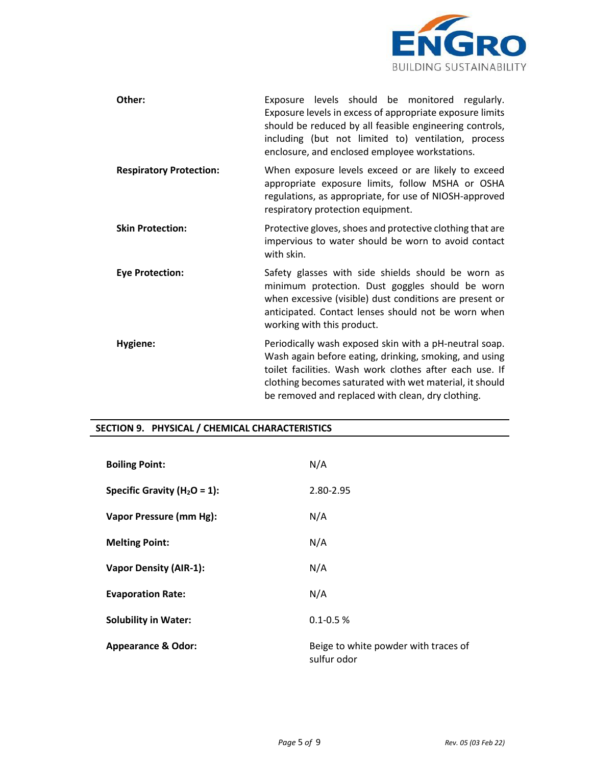

| Other:                         | Exposure levels should be monitored regularly.<br>Exposure levels in excess of appropriate exposure limits<br>should be reduced by all feasible engineering controls,<br>including (but not limited to) ventilation, process<br>enclosure, and enclosed employee workstations.              |
|--------------------------------|---------------------------------------------------------------------------------------------------------------------------------------------------------------------------------------------------------------------------------------------------------------------------------------------|
| <b>Respiratory Protection:</b> | When exposure levels exceed or are likely to exceed<br>appropriate exposure limits, follow MSHA or OSHA<br>regulations, as appropriate, for use of NIOSH-approved<br>respiratory protection equipment.                                                                                      |
| <b>Skin Protection:</b>        | Protective gloves, shoes and protective clothing that are<br>impervious to water should be worn to avoid contact<br>with skin.                                                                                                                                                              |
| <b>Eye Protection:</b>         | Safety glasses with side shields should be worn as<br>minimum protection. Dust goggles should be worn<br>when excessive (visible) dust conditions are present or<br>anticipated. Contact lenses should not be worn when<br>working with this product.                                       |
| Hygiene:                       | Periodically wash exposed skin with a pH-neutral soap.<br>Wash again before eating, drinking, smoking, and using<br>toilet facilities. Wash work clothes after each use. If<br>clothing becomes saturated with wet material, it should<br>be removed and replaced with clean, dry clothing. |

## **SECTION 9. PHYSICAL / CHEMICAL CHARACTERISTICS**

| <b>Boiling Point:</b>            | N/A                                                 |
|----------------------------------|-----------------------------------------------------|
| Specific Gravity ( $H_2O = 1$ ): | 2.80-2.95                                           |
| Vapor Pressure (mm Hg):          | N/A                                                 |
| <b>Melting Point:</b>            | N/A                                                 |
| <b>Vapor Density (AIR-1):</b>    | N/A                                                 |
| <b>Evaporation Rate:</b>         | N/A                                                 |
| <b>Solubility in Water:</b>      | $0.1 - 0.5 %$                                       |
| <b>Appearance &amp; Odor:</b>    | Beige to white powder with traces of<br>sulfur odor |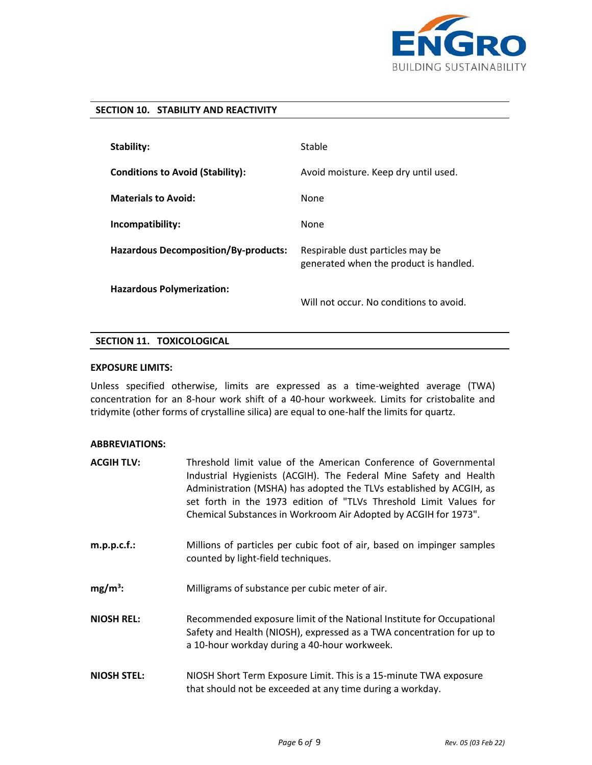

## **SECTION 10. STABILITY AND REACTIVITY**

| <b>Stability:</b>                           | Stable                                                                     |
|---------------------------------------------|----------------------------------------------------------------------------|
| <b>Conditions to Avoid (Stability):</b>     | Avoid moisture. Keep dry until used.                                       |
| <b>Materials to Avoid:</b>                  | None                                                                       |
| Incompatibility:                            | None                                                                       |
| <b>Hazardous Decomposition/By-products:</b> | Respirable dust particles may be<br>generated when the product is handled. |
| <b>Hazardous Polymerization:</b>            | Will not occur. No conditions to avoid.                                    |

## **SECTION 11. TOXICOLOGICAL**

## **EXPOSURE LIMITS:**

Unless specified otherwise, limits are expressed as a time-weighted average (TWA) concentration for an 8-hour work shift of a 40-hour workweek. Limits for cristobalite and tridymite (other forms of crystalline silica) are equal to one-half the limits for quartz.

## **ABBREVIATIONS:**

| <b>ACGIH TLV:</b>  | Threshold limit value of the American Conference of Governmental<br>Industrial Hygienists (ACGIH). The Federal Mine Safety and Health<br>Administration (MSHA) has adopted the TLVs established by ACGIH, as<br>set forth in the 1973 edition of "TLVs Threshold Limit Values for<br>Chemical Substances in Workroom Air Adopted by ACGIH for 1973". |
|--------------------|------------------------------------------------------------------------------------------------------------------------------------------------------------------------------------------------------------------------------------------------------------------------------------------------------------------------------------------------------|
| $m.p.p.c.f.$ :     | Millions of particles per cubic foot of air, based on impinger samples<br>counted by light-field techniques.                                                                                                                                                                                                                                         |
| $mg/m^3$ :         | Milligrams of substance per cubic meter of air.                                                                                                                                                                                                                                                                                                      |
| <b>NIOSH REL:</b>  | Recommended exposure limit of the National Institute for Occupational<br>Safety and Health (NIOSH), expressed as a TWA concentration for up to<br>a 10-hour workday during a 40-hour workweek.                                                                                                                                                       |
| <b>NIOSH STEL:</b> | NIOSH Short Term Exposure Limit. This is a 15-minute TWA exposure<br>that should not be exceeded at any time during a workday.                                                                                                                                                                                                                       |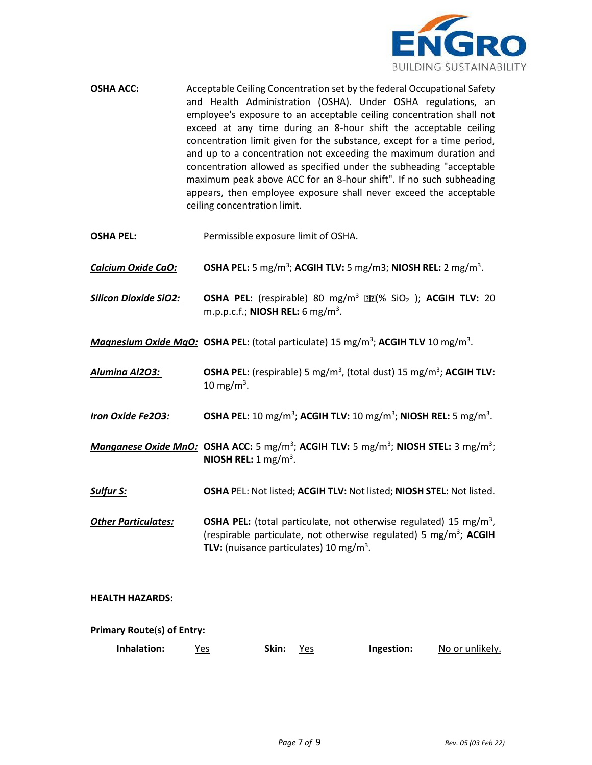

- **OSHA ACC:** Acceptable Ceiling Concentration set by the federal Occupational Safety and Health Administration (OSHA). Under OSHA regulations, an employee's exposure to an acceptable ceiling concentration shall not exceed at any time during an 8-hour shift the acceptable ceiling concentration limit given for the substance, except for a time period, and up to a concentration not exceeding the maximum duration and concentration allowed as specified under the subheading "acceptable maximum peak above ACC for an 8-hour shift". If no such subheading appears, then employee exposure shall never exceed the acceptable ceiling concentration limit.
- **OSHA PEL:** Permissible exposure limit of OSHA.
- *Calcium Oxide CaO:* **OSHA PEL:** 5 mg/m<sup>3</sup> ; **ACGIH TLV:** 5 mg/m3; **NIOSH REL:** 2 mg/m<sup>3</sup> .
- *Silicon Dioxide SiO2:* **OSHA PEL:** (respirable) 80 mg/m<sup>3</sup> (% SiO<sup>2</sup> ); **ACGIH TLV:** 20 m.p.p.c.f.; **NIOSH REL:** 6 mg/m<sup>3</sup> .
- *Magnesium Oxide MgO:* **OSHA PEL:** (total particulate) 15 mg/m<sup>3</sup> ; **ACGIH TLV** 10 mg/m<sup>3</sup> .
- Alumina Al2O3: **OSHA PEL:** (respirable) 5 mg/m<sup>3</sup>, (total dust) 15 mg/m<sup>3</sup>; ACGIH TLV: 10 mg/m<sup>3</sup>.
- *Iron Oxide Fe2O3:* **OSHA PEL:** 10 mg/m<sup>3</sup> ; **ACGIH TLV:** 10 mg/m<sup>3</sup> ; **NIOSH REL:** 5 mg/m<sup>3</sup> .
- Manganese Oxide MnO: OSHA ACC: 5 mg/m<sup>3</sup>; ACGIH TLV: 5 mg/m<sup>3</sup>; NIOSH STEL: 3 mg/m<sup>3</sup>; **NIOSH REL:** 1 mg/m<sup>3</sup> .
- *Sulfur S:* **OSHA P**EL: Not listed; **ACGIH TLV:** Not listed; **NIOSH STEL:** Not listed.
- **Other Particulates: OSHA PEL:** (total particulate, not otherwise regulated) 15 mg/m<sup>3</sup>, (respirable particulate, not otherwise regulated) 5 mg/m<sup>3</sup> ; **ACGIH TLV:** (nuisance particulates) 10 mg/m<sup>3</sup> .

## **HEALTH HAZARDS:**

## **Primary Route**(**s) of Entry:**

**Inhalation:** Yes **Skin:** Yes **Ingestion:** No or unlikely.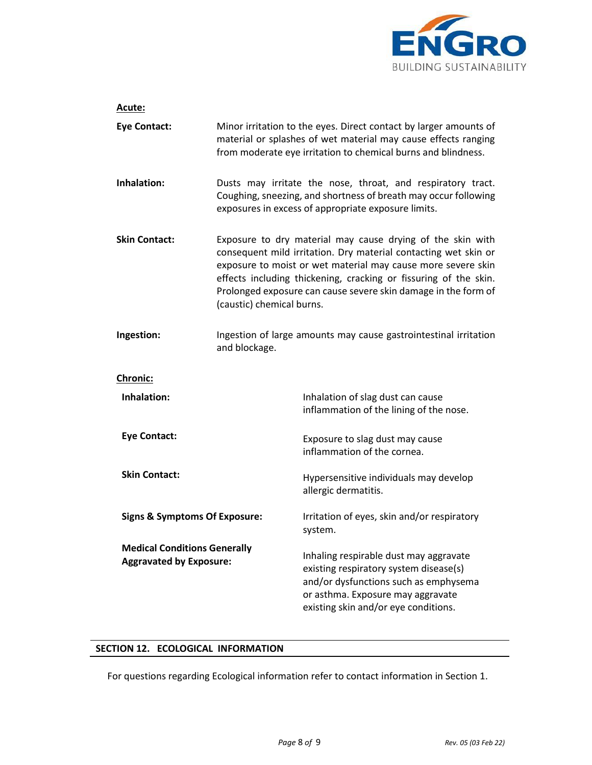

| Acute:                                                                |                                                                                                                                                                                                                                                                                                                                                                  |                                                                                                                                                                                                        |
|-----------------------------------------------------------------------|------------------------------------------------------------------------------------------------------------------------------------------------------------------------------------------------------------------------------------------------------------------------------------------------------------------------------------------------------------------|--------------------------------------------------------------------------------------------------------------------------------------------------------------------------------------------------------|
| <b>Eye Contact:</b>                                                   | Minor irritation to the eyes. Direct contact by larger amounts of<br>material or splashes of wet material may cause effects ranging<br>from moderate eye irritation to chemical burns and blindness.                                                                                                                                                             |                                                                                                                                                                                                        |
| Inhalation:                                                           | Dusts may irritate the nose, throat, and respiratory tract.<br>Coughing, sneezing, and shortness of breath may occur following<br>exposures in excess of appropriate exposure limits.                                                                                                                                                                            |                                                                                                                                                                                                        |
| <b>Skin Contact:</b>                                                  | Exposure to dry material may cause drying of the skin with<br>consequent mild irritation. Dry material contacting wet skin or<br>exposure to moist or wet material may cause more severe skin<br>effects including thickening, cracking or fissuring of the skin.<br>Prolonged exposure can cause severe skin damage in the form of<br>(caustic) chemical burns. |                                                                                                                                                                                                        |
| Ingestion:                                                            | Ingestion of large amounts may cause gastrointestinal irritation<br>and blockage.                                                                                                                                                                                                                                                                                |                                                                                                                                                                                                        |
| <b>Chronic:</b>                                                       |                                                                                                                                                                                                                                                                                                                                                                  |                                                                                                                                                                                                        |
| Inhalation:                                                           |                                                                                                                                                                                                                                                                                                                                                                  | Inhalation of slag dust can cause<br>inflammation of the lining of the nose.                                                                                                                           |
| <b>Eye Contact:</b>                                                   |                                                                                                                                                                                                                                                                                                                                                                  | Exposure to slag dust may cause<br>inflammation of the cornea.                                                                                                                                         |
| <b>Skin Contact:</b>                                                  |                                                                                                                                                                                                                                                                                                                                                                  | Hypersensitive individuals may develop<br>allergic dermatitis.                                                                                                                                         |
| <b>Signs &amp; Symptoms Of Exposure:</b>                              |                                                                                                                                                                                                                                                                                                                                                                  | Irritation of eyes, skin and/or respiratory<br>system.                                                                                                                                                 |
| <b>Medical Conditions Generally</b><br><b>Aggravated by Exposure:</b> |                                                                                                                                                                                                                                                                                                                                                                  | Inhaling respirable dust may aggravate<br>existing respiratory system disease(s)<br>and/or dysfunctions such as emphysema<br>or asthma. Exposure may aggravate<br>existing skin and/or eye conditions. |

## **SECTION 12. ECOLOGICAL INFORMATION**

For questions regarding Ecological information refer to contact information in Section 1.